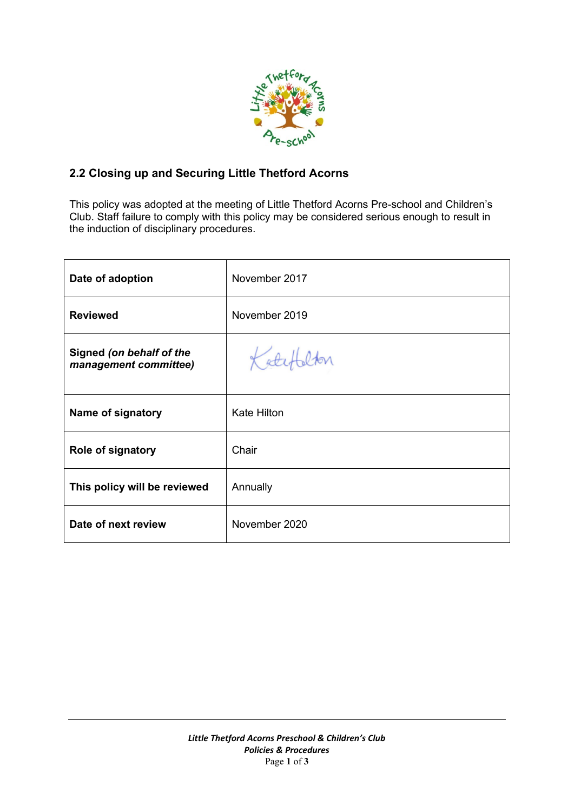

## **2.2 Closing up and Securing Little Thetford Acorns**

This policy was adopted at the meeting of Little Thetford Acorns Pre-school and Children's Club. Staff failure to comply with this policy may be considered serious enough to result in the induction of disciplinary procedures.

| Date of adoption                                  | November 2017      |
|---------------------------------------------------|--------------------|
| <b>Reviewed</b>                                   | November 2019      |
| Signed (on behalf of the<br>management committee) | Katefalton         |
| Name of signatory                                 | <b>Kate Hilton</b> |
| <b>Role of signatory</b>                          | Chair              |
| This policy will be reviewed                      | Annually           |
| Date of next review                               | November 2020      |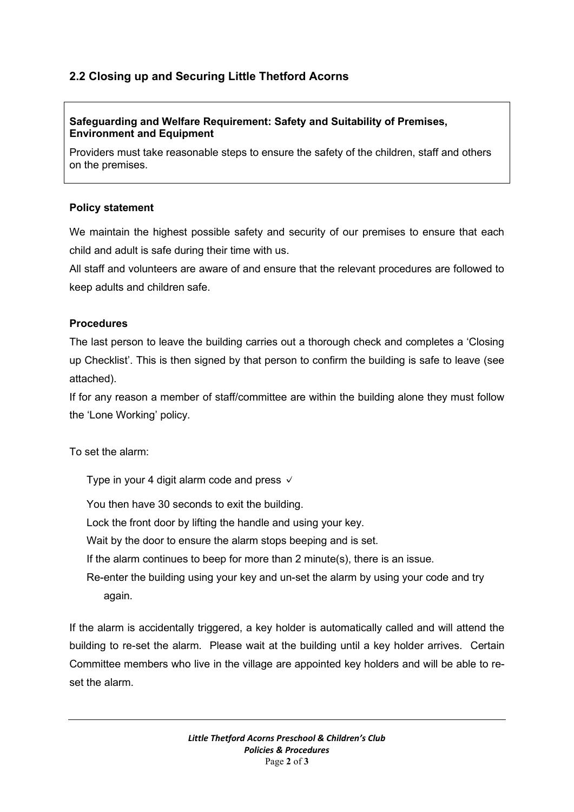# **2.2 Closing up and Securing Little Thetford Acorns**

#### **Safeguarding and Welfare Requirement: Safety and Suitability of Premises, Environment and Equipment**

Providers must take reasonable steps to ensure the safety of the children, staff and others on the premises.

#### **Policy statement**

We maintain the highest possible safety and security of our premises to ensure that each child and adult is safe during their time with us.

All staff and volunteers are aware of and ensure that the relevant procedures are followed to keep adults and children safe.

#### **Procedures**

The last person to leave the building carries out a thorough check and completes a 'Closing up Checklist'. This is then signed by that person to confirm the building is safe to leave (see attached).

If for any reason a member of staff/committee are within the building alone they must follow the 'Lone Working' policy.

To set the alarm:

Type in your 4 digit alarm code and press  $\sqrt{ }$ 

You then have 30 seconds to exit the building.

Lock the front door by lifting the handle and using your key.

Wait by the door to ensure the alarm stops beeping and is set.

If the alarm continues to beep for more than 2 minute(s), there is an issue.

Re-enter the building using your key and un-set the alarm by using your code and try again.

If the alarm is accidentally triggered, a key holder is automatically called and will attend the building to re-set the alarm. Please wait at the building until a key holder arrives. Certain Committee members who live in the village are appointed key holders and will be able to reset the alarm.